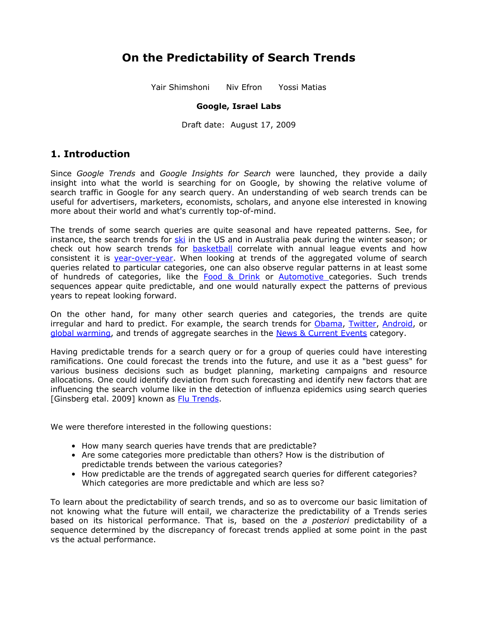# **On the Predictability of Search Trends**

Yair Shimshoni Niv Efron Yossi Matias

### **Google, Israel Labs**

Draft date: August 17, 2009

## **1. Introduction**

Since *Google Trends* and *Google Insights for Search* were launched, they provide a daily insight into what the world is searching for on Google, by showing the relative volume of search traffic in Google for any search query. An understanding of web search trends can be useful for advertisers, marketers, economists, scholars, and anyone else interested in knowing more about their world and what's currently top-of-mind.

The trends of some search queries are quite seasonal and have repeated patterns. See, for instance, the search trends for [ski](http://www.google.com/insights/search/#q=ski&geo=US%2CAU&date=1%2F2004%2061m&cmpt=geo) in the US and in Australia peak during the winter season; or check out how search trends for **[basketball](http://www.google.com/insights/search/#q=basketball&geo=US&date=1%2F2004%2067m&cmpt=q)** correlate with annual league events and how consistent it is [year-over-year.](http://www.google.com/insights/search/#q=basketball&geo=US&date=1%2F2008%2012m%2C1%2F2007%2012m%2C1%2F2006%2012m%2C1%2F2005%2012m&cmpt=date) When looking at trends of the aggregated volume of search queries related to particular categories, one can also observe regular patterns in at least some of hundreds of categories, like the Food & [Drink](http://www.google.com/insights/search/#cat=71&date=1%2F2004%2067m&cmpt=q) or [Automotive](http://www.google.com/insights/search/#cat=47&geo=US&date=1%2F2004%2061m&cmpt=q) categories. Such trends sequences appear quite predictable, and one would naturally expect the patterns of previous years to repeat looking forward.

On the other hand, for many other search queries and categories, the trends are quite irregular and hard to predict. For example, the search trends for [Obama,](http://www.google.com/insights/search/#q=obama&cmpt=q) [Twitter](http://www.google.com/insights/search/#q=twitter&cmpt=q), [Android,](http://www.google.com/insights/search/#q=android&cmpt=q) or [global warming,](http://www.google.com/insights/search/#q=global%20warming&cmpt=q) and trends of aggregate searches in the [News & Current Events](http://www.google.com/insights/search/#cat=16&cmpt=q) category.

Having predictable trends for a search query or for a group of queries could have interesting ramifications. One could forecast the trends into the future, and use it as a "best guess" for various business decisions such as budget planning, marketing campaigns and resource allocations. One could identify deviation from such forecasting and identify new factors that are influencing the search volume like in the detection of influenza epidemics using search queries [Ginsberg etal. 2009] known as [Flu Trends](http://googleblog.blogspot.com/2008/11/tracking-flu-trends.html).

We were therefore interested in the following questions:

- How many search queries have trends that are predictable?
- Are some categories more predictable than others? How is the distribution of predictable trends between the various categories?
- How predictable are the trends of aggregated search queries for different categories? Which categories are more predictable and which are less so?

To learn about the predictability of search trends, and so as to overcome our basic limitation of not knowing what the future will entail, we characterize the predictability of a Trends series based on its historical performance. That is, based on the *a posteriori* predictability of a sequence determined by the discrepancy of forecast trends applied at some point in the past vs the actual performance.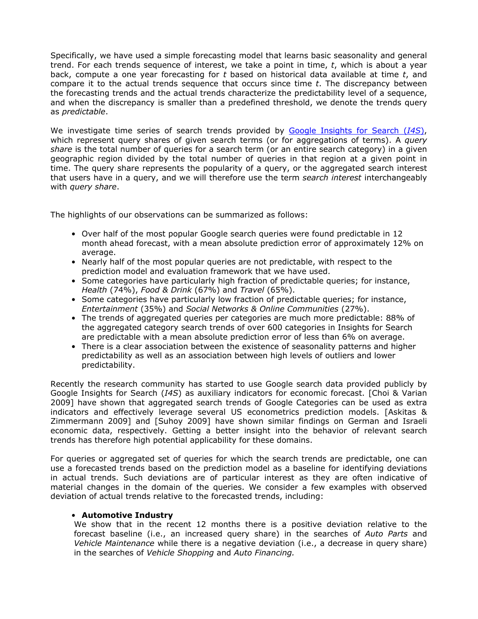Specifically, we have used a simple forecasting model that learns basic seasonality and general trend. For each trends sequence of interest, we take a point in time, *t*, which is about a year back, compute a one year forecasting for *t* based on historical data available at time *t*, and compare it to the actual trends sequence that occurs since time *t*. The discrepancy between the forecasting trends and the actual trends characterize the predictability level of a sequence, and when the discrepancy is smaller than a predefined threshold, we denote the trends query as *predictable*.

We investigate time series of search trends provided by Google [Insights](http://www.google.com/insights/search/) for Search (*I4S*), which represent query shares of given search terms (or for aggregations of terms). A *query share* is the total number of queries for a search term (or an entire search category) in a given geographic region divided by the total number of queries in that region at a given point in time. The query share represents the popularity of a query, or the aggregated search interest that users have in a query, and we will therefore use the term *search interest* interchangeably with *query share*.

The highlights of our observations can be summarized as follows:

- Over half of the most popular Google search queries were found predictable in 12 month ahead forecast, with a mean absolute prediction error of approximately 12% on average.
- Nearly half of the most popular queries are not predictable, with respect to the prediction model and evaluation framework that we have used.
- Some categories have particularly high fraction of predictable queries; for instance, *Health* (74%), *Food & Drink* (67%) and *Travel* (65%).
- Some categories have particularly low fraction of predictable queries; for instance, *Entertainment* (35%) and *Social Networks & Online Communities* (27%).
- The trends of aggregated queries per categories are much more predictable: 88% of the aggregated category search trends of over 600 categories in Insights for Search are predictable with a mean absolute prediction error of less than 6% on average.
- There is a clear association between the existence of seasonality patterns and higher predictability as well as an association between high levels of outliers and lower predictability.

Recently the research community has started to use Google search data provided publicly by Google Insights for Search (*I4S*) as auxiliary indicators for economic forecast. [Choi & Varian 2009] have shown that aggregated search trends of Google Categories can be used as extra indicators and effectively leverage several US econometrics prediction models. [Askitas & Zimmermann 2009] and [Suhoy 2009] have shown similar findings on German and Israeli economic data, respectively. Getting a better insight into the behavior of relevant search trends has therefore high potential applicability for these domains.

For queries or aggregated set of queries for which the search trends are predictable, one can use a forecasted trends based on the prediction model as a baseline for identifying deviations in actual trends. Such deviations are of particular interest as they are often indicative of material changes in the domain of the queries. We consider a few examples with observed deviation of actual trends relative to the forecasted trends, including:

#### • **Automotive Industry**

We show that in the recent 12 months there is a positive deviation relative to the forecast baseline (i.e., an increased query share) in the searches of *Auto Parts* and *Vehicle Maintenance* while there is a negative deviation (i.e., a decrease in query share) in the searches of *Vehicle Shopping* and *Auto Financing.*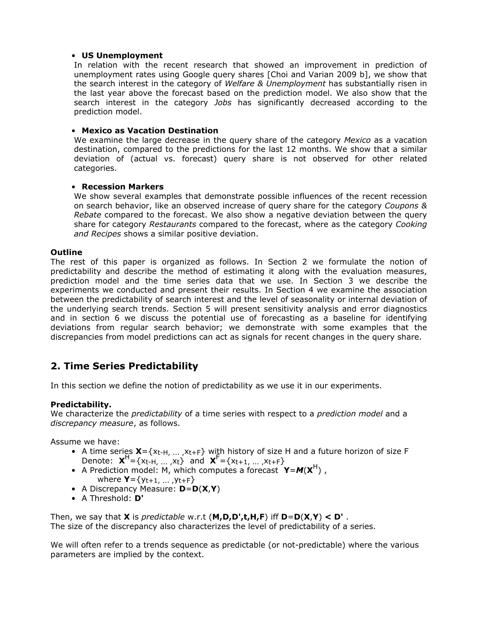#### • **US Unemployment**

In relation with the recent research that showed an improvement in prediction of unemployment rates using Google query shares [Choi and Varian 2009 b], we show that the search interest in the category of *Welfare & Unemployment* has substantially risen in the last year above the forecast based on the prediction model. We also show that the search interest in the category *Jobs* has significantly decreased according to the prediction model.

### • **Mexico as Vacation Destination**

We examine the large decrease in the query share of the category *Mexico* as a vacation destination, compared to the predictions for the last 12 months. We show that a similar deviation of (actual vs. forecast) query share is not observed for other related categories.

### • **Recession Markers**

We show several examples that demonstrate possible influences of the recent recession on search behavior, like an observed increase of query share for the category *Coupons & Rebate* compared to the forecast. We also show a negative deviation between the query share for category *Restaurants* compared to the forecast, where as the category *Cooking and Recipes* shows a similar positive deviation.

### **Outline**

The rest of this paper is organized as follows. In Section 2 we formulate the notion of predictability and describe the method of estimating it along with the evaluation measures, prediction model and the time series data that we use. In Section 3 we describe the experiments we conducted and present their results. In Section 4 we examine the association between the predictability of search interest and the level of seasonality or internal deviation of the underlying search trends. Section 5 will present sensitivity analysis and error diagnostics and in section 6 we discuss the potential use of forecasting as a baseline for identifying deviations from regular search behavior; we demonstrate with some examples that the discrepancies from model predictions can act as signals for recent changes in the query share.

## **2. Time Series Predictability**

In this section we define the notion of predictability as we use it in our experiments.

### **Predictability.**

We characterize the *predictability* of a time series with respect to a *prediction model* and a *discrepancy measure*, as follows.

Assume we have:

- A time series  $\mathbf{X} = \{x_{t-H}, ..., x_{t+F}\}$  with history of size H and a future horizon of size F Denote:  $\mathbf{X}^H = \{x_{t-H}, ..., x_t\}$  and  $\mathbf{X}^F = \{x_{t+1}, ..., x_{t+F}\}$
- A Prediction model: M, which computes a forecast  $Y = M(X^H)$ , where **Y**={yt+1, ... ,yt+F}
- A Discrepancy Measure: **D**=**D**(**X**,**Y**)
- A Threshold: **D'**

Then, we say that **X** is *predictable* w.r.t (**M,D,D',t,H,F**) iff **D**=**D**(**X**,**Y**) **< D'** . The size of the discrepancy also characterizes the level of predictability of a series.

We will often refer to a trends sequence as predictable (or not-predictable) where the various parameters are implied by the context.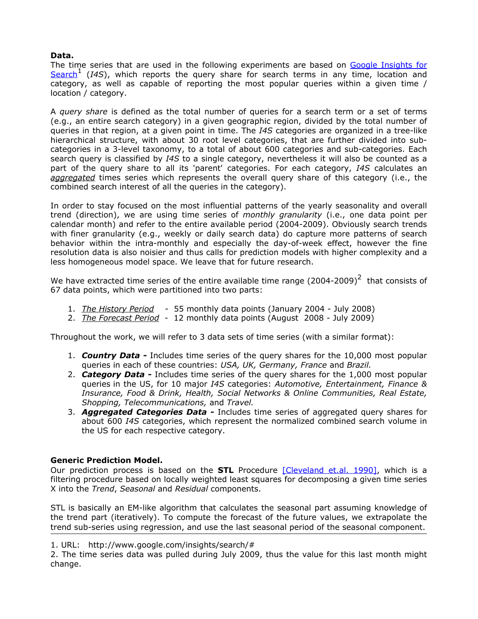#### **Data.**

The time series that are used in the following experiments are based on Google [Insights](http://www.google.com/insights/search/) for [Search](http://www.google.com/insights/search/)<sup>1</sup> (*I4S*), which reports the query share for search terms in any time, location and category, as well as capable of reporting the most popular queries within a given time / location / category.

A *query share* is defined as the total number of queries for a search term or a set of terms (e.g., an entire search category) in a given geographic region, divided by the total number of queries in that region, at a given point in time. The *I4S* categories are organized in a tree-like hierarchical structure, with about 30 root level categories, that are further divided into subcategories in a 3-level taxonomy, to a total of about 600 categories and sub-categories. Each search query is classified by *I4S* to a single category, nevertheless it will also be counted as a part of the query share to all its 'parent' categories. For each category, *I4S* calculates an *aggregated* times series which represents the overall query share of this category (i.e., the combined search interest of all the queries in the category).

In order to stay focused on the most influential patterns of the yearly seasonality and overall trend (direction), we are using time series of *monthly granularity* (i.e., one data point per calendar month) and refer to the entire available period (2004-2009). Obviously search trends with finer granularity (e.g., weekly or daily search data) do capture more patterns of search behavior within the intra-monthly and especially the day-of-week effect, however the fine resolution data is also noisier and thus calls for prediction models with higher complexity and a less homogeneous model space. We leave that for future research.

We have extracted time series of the entire available time range  $(2004-2009)^2$  that consists of 67 data points, which were partitioned into two parts:

- 1. *The History Period -* 55 monthly data points (January 2004 July 2008)
- 2. *The Forecast Period* 12 monthly data points (August 2008 July 2009)

Throughout the work, we will refer to 3 data sets of time series (with a similar format):

- 1. *Country Data -* Includes time series of the query shares for the 10,000 most popular queries in each of these countries: *USA, UK, Germany, France* and *Brazil.*
- 2. *Category Data -* Includes time series of the query shares for the 1,000 most popular queries in the US, for 10 major *I4S* categories: *Automotive, Entertainment, Finance & Insurance, Food & Drink, Health, Social Networks & Online Communities, Real Estate, Shopping, Telecommunications,* and *Travel.*
- 3. *Aggregated Categories Data -* Includes time series of aggregated query shares for about 600 *I4S* categories, which represent the normalized combined search volume in the US for each respective category.

#### **Generic Prediction Model.**

Our prediction process is based on the **STL** Procedure [\[Cleveland](http://www.corp.google.com/%7Eyuvaln/STL_article.pdf) et.al. 1990], which is a filtering procedure based on locally weighted least squares for decomposing a given time series X into the *Trend*, *Seasonal* and *Residual* components.

STL is basically an EM-like algorithm that calculates the seasonal part assuming knowledge of the trend part (iteratively). To compute the forecast of the future values, we extrapolate the trend sub-series using regression, and use the last seasonal period of the seasonal component.

<sup>1.</sup> URL: http://www.google.com/insights/search/#

<sup>2.</sup> The time series data was pulled during July 2009, thus the value for this last month might change.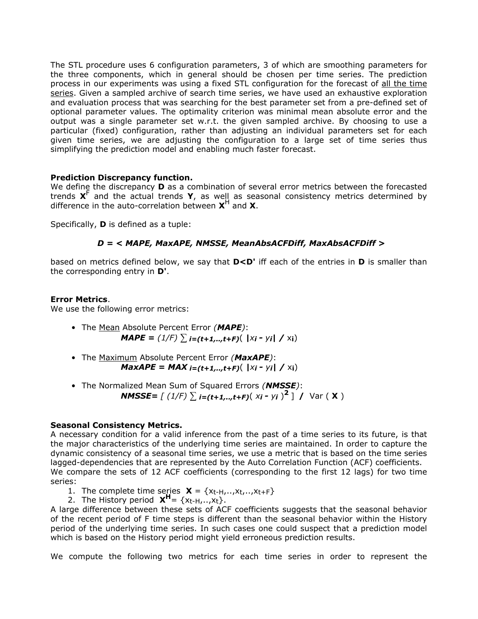The STL procedure uses 6 configuration parameters, 3 of which are smoothing parameters for the three components, which in general should be chosen per time series. The prediction process in our experiments was using a fixed STL configuration for the forecast of all the time series. Given a sampled archive of search time series, we have used an exhaustive exploration and evaluation process that was searching for the best parameter set from a pre-defined set of optional parameter values. The optimality criterion was minimal mean absolute error and the output was a single parameter set w.r.t. the given sampled archive. By choosing to use a particular (fixed) configuration, rather than adjusting an individual parameters set for each given time series, we are adjusting the configuration to a large set of time series thus simplifying the prediction model and enabling much faster forecast.

#### **Prediction Discrepancy function.**

We define the discrepancy **D** as a combination of several error metrics between the forecasted trends **X** F and the actual trends **Y**, as well as seasonal consistency metrics determined by difference in the auto-correlation between **X** H and **X**.

Specifically, **D** is defined as a tuple:

### *D = < MAPE, MaxAPE, NMSSE, MeanAbsACFDiff, MaxAbsACFDiff >*

based on metrics defined below, we say that **D<D'** iff each of the entries in **D** is smaller than the corresponding entry in **D'**.

#### **Error Metrics**.

We use the following error metrics:

- The Mean Absolute Percent Error *(MAPE)*: *MAPE* =  $(1/F)$  ∑ *i*=(*t*+1,..,*t*+*F*)( |*xi* - *yi*| / x<sub>i</sub>)
- The Maximum Absolute Percent Error *(MaxAPE)*: *MaxAPE = MAX i=(t+1,..,t+F)*( *|xi - yi| /* x**i**)
- The Normalized Mean Sum of Squared Errors *(NMSSE)*: *NMSSE=*  $[ (1/F) ∑ i=(t+1,..,t+F)( x<sup>i</sup> - y<sup>i</sup> )<sup>2</sup> ]$  / Var ( **X**)

### **Seasonal Consistency Metrics.**

A necessary condition for a valid inference from the past of a time series to its future, is that the major characteristics of the underlying time series are maintained. In order to capture the dynamic consistency of a seasonal time series, we use a metric that is based on the time series lagged-dependencies that are represented by the Auto Correlation Function (ACF) coefficients. We compare the sets of 12 ACF coefficients (corresponding to the first 12 lags) for two time series:

1. The complete time series  $\mathbf{X} = \{x_t, u_t, x_t, \ldots, x_{t+1}\}$ 

2. The History period  $X^H = \{x_{t-H},...,x_t\}$ .

A large difference between these sets of ACF coefficients suggests that the seasonal behavior of the recent period of F time steps is different than the seasonal behavior within the History period of the underlying time series. In such cases one could suspect that a prediction model which is based on the History period might yield erroneous prediction results.

We compute the following two metrics for each time series in order to represent the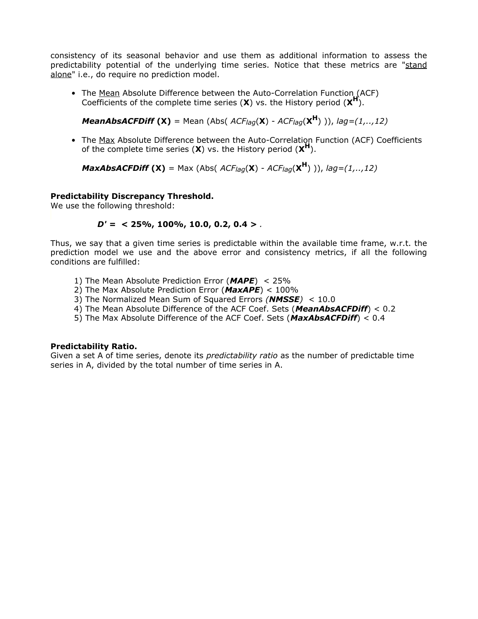consistency of its seasonal behavior and use them as additional information to assess the predictability potential of the underlying time series. Notice that these metrics are "stand alone" i.e., do require no prediction model.

• The Mean Absolute Difference between the Auto-Correlation Function (ACF) Coefficients of the complete time series  $(X)$  vs. the History period  $(X^H)$ .

*MeanAbsACFDiff* **(X)** = Mean (Abs( *ACFlag*(**X**) - *ACFlag*(**X <sup>H</sup>**) )), *lag=(1,..,12)*

• The Max Absolute Difference between the Auto-Correlation Function (ACF) Coefficients of the complete time series  $(X)$  vs. the History period  $(X^H)$ .

*MaxAbsACFDiff* **(X)** = Max (Abs( *ACFlag*(**X**) - *ACFlag*(**X <sup>H</sup>**) )), *lag=(1,..,12)*

#### **Predictability Discrepancy Threshold.**

We use the following threshold:

#### *D' = <* **25%, 100%, 10.0, 0.2, 0.4** *> .*

Thus, we say that a given time series is predictable within the available time frame, w.r.t. the prediction model we use and the above error and consistency metrics, if all the following conditions are fulfilled:

- 1) The Mean Absolute Prediction Error (*MAPE*) < 25%
- 2) The Max Absolute Prediction Error (*MaxAPE*) < 100%
- 3) The Normalized Mean Sum of Squared Errors *(NMSSE)* < 10.0
- 4) The Mean Absolute Difference of the ACF Coef. Sets (*MeanAbsACFDiff*) < 0.2
- 5) The Max Absolute Difference of the ACF Coef. Sets (*MaxAbsACFDiff*) < 0.4

#### **Predictability Ratio.**

Given a set A of time series, denote its *predictability ratio* as the number of predictable time series in A, divided by the total number of time series in A.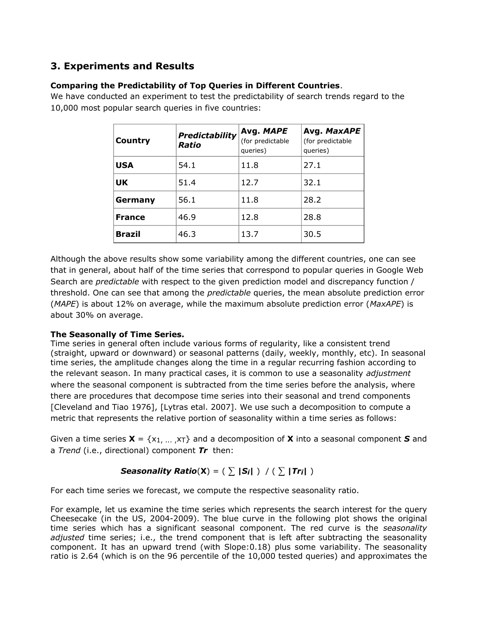## **3. Experiments and Results**

## **Comparing the Predictability of Top Queries in Different Countries**.

We have conducted an experiment to test the predictability of search trends regard to the 10,000 most popular search queries in five countries:

| Country       | <b>Predictability</b><br>Ratio | Avg. MAPE<br>(for predictable<br>queries) | Avg. MaxAPE<br>(for predictable<br>queries) |
|---------------|--------------------------------|-------------------------------------------|---------------------------------------------|
| <b>USA</b>    | 54.1                           | 11.8                                      | 27.1                                        |
| <b>UK</b>     | 51.4                           | 12.7                                      | 32.1                                        |
| Germany       | 56.1                           | 11.8                                      | 28.2                                        |
| <b>France</b> | 46.9                           | 12.8                                      | 28.8                                        |
| <b>Brazil</b> | 46.3                           | 13.7                                      | 30.5                                        |

Although the above results show some variability among the different countries, one can see that in general, about half of the time series that correspond to popular queries in Google Web Search are *predictable* with respect to the given prediction model and discrepancy function / threshold. One can see that among the *predictable* queries, the mean absolute prediction error (*MAPE*) is about 12% on average, while the maximum absolute prediction error (*MaxAPE*) is about 30% on average.

## **The Seasonally of Time Series.**

Time series in general often include various forms of regularity, like a consistent trend (straight, upward or downward) or seasonal patterns (daily, weekly, monthly, etc). In seasonal time series, the amplitude changes along the time in a regular recurring fashion according to the relevant season. In many practical cases, it is common to use a seasonality *adjustment* where the seasonal component is subtracted from the time series before the analysis, where there are procedures that decompose time series into their seasonal and trend components [Cleveland and Tiao 1976], [Lytras etal. 2007]. We use such a decomposition to compute a metric that represents the relative portion of seasonality within a time series as follows:

Given a time series  $X = \{x_1, ..., x_T\}$  and a decomposition of X into a seasonal component S and a *Trend* (i.e., directional) component *Tr* then:

## *Seasonality Ratio*( $X$ ) = ( $\sum$  |*Si*| ) / ( $\sum$  |*Tri*| )

For each time series we forecast, we compute the respective seasonality ratio.

For example, let us examine the time series which represents the search interest for the query Cheesecake (in the US, 2004-2009). The blue curve in the following plot shows the original time series which has a significant seasonal component. The red curve is the *seasonality adjusted* time series; i.e., the trend component that is left after subtracting the seasonality component. It has an upward trend (with Slope:0.18) plus some variability. The seasonality ratio is 2.64 (which is on the 96 percentile of the 10,000 tested queries) and approximates the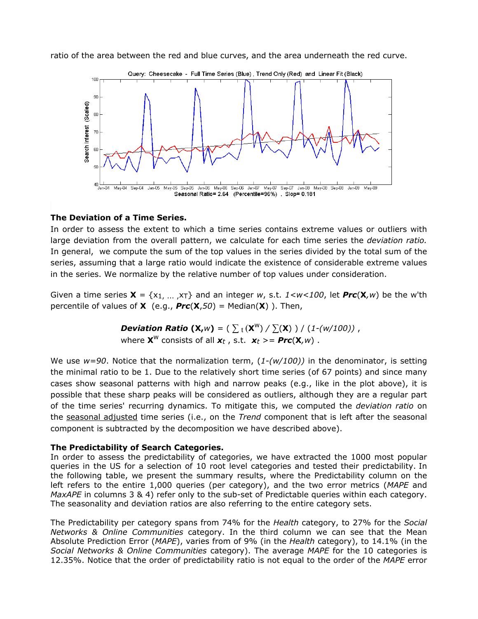ratio of the area between the red and blue curves, and the area underneath the red curve.



#### **The Deviation of a Time Series.**

In order to assess the extent to which a time series contains extreme values or outliers with large deviation from the overall pattern, we calculate for each time series the *deviation ratio.* In general, we compute the sum of the top values in the series divided by the total sum of the series, assuming that a large ratio would indicate the existence of considerable extreme values in the series. We normalize by the relative number of top values under consideration.

Given a time series **X** = {x1, ... ,xT} and an integer *w*, s.t. *1<w<100*, let *Prc*(**X***,w*) be the w'th percentile of values of **X** (e.g., *Prc*(**X**,*50*) = Median(**X**) ). Then,

> *Deviation Ratio*  $(X, w) = (\sum_{i} (X^{w}) / \sum_{i} (X^{i}) ) / (1 - (w/100))$  , where  $\mathbf{X}^W$  consists of all  $\mathbf{x}_t$ , s.t.  $\mathbf{x}_t \geq -Prc(\mathbf{X}, w)$ .

We use *w=90*. Notice that the normalization term, (*1-(w/100))* in the denominator, is setting the minimal ratio to be 1. Due to the relatively short time series (of 67 points) and since many cases show seasonal patterns with high and narrow peaks (e.g., like in the plot above), it is possible that these sharp peaks will be considered as outliers, although they are a regular part of the time series' recurring dynamics. To mitigate this, we computed the *deviation ratio* on the seasonal adjusted time series (i.e., on the *Trend* component that is left after the seasonal component is subtracted by the decomposition we have described above).

#### **The Predictability of Search Categories.**

In order to assess the predictability of categories, we have extracted the 1000 most popular queries in the US for a selection of 10 root level categories and tested their predictability. In the following table, we present the summary results, where the Predictability column on the left refers to the entire 1,000 queries (per category), and the two error metrics (*MAPE* and *MaxAPE* in columns 3 & 4) refer only to the sub-set of Predictable queries within each category. The seasonality and deviation ratios are also referring to the entire category sets.

The Predictability per category spans from 74% for the *Health* category, to 27% for the *Social Networks & Online Communities* category. In the third column we can see that the Mean Absolute Prediction Error (*MAPE*), varies from of 9% (in the *Health* category), to 14.1% (in the *Social Networks & Online Communities* category). The average *MAPE* for the 10 categories is 12.35%. Notice that the order of predictability ratio is not equal to the order of the *MAPE* error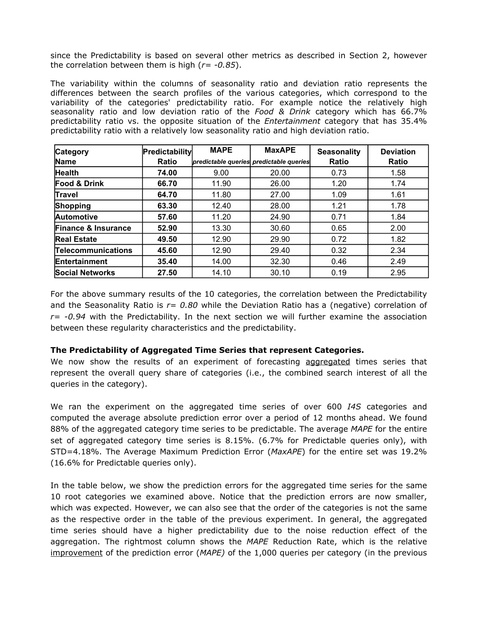since the Predictability is based on several other metrics as described in Section 2, however the correlation between them is high (*r= -0.85*).

The variability within the columns of seasonality ratio and deviation ratio represents the differences between the search profiles of the various categories, which correspond to the variability of the categories' predictability ratio. For example notice the relatively high seasonality ratio and low deviation ratio of the *Food & Drink* category which has 66.7% predictability ratio vs. the opposite situation of the *Entertainment* category that has 35.4% predictability ratio with a relatively low seasonality ratio and high deviation ratio.

| <b>Category</b>                | <b>Predictability</b> | <b>MAPE</b> | <b>MaxAPE</b>                           | <b>Seasonality</b> | <b>Deviation</b> |
|--------------------------------|-----------------------|-------------|-----------------------------------------|--------------------|------------------|
| Name                           | <b>Ratio</b>          |             | predictable queries predictable queries | Ratio              | <b>Ratio</b>     |
| <b>Health</b>                  | 74.00                 | 9.00        | 20.00                                   | 0.73               | 1.58             |
| <b>Food &amp; Drink</b>        | 66.70                 | 11.90       | 26.00                                   | 1.20               | 1.74             |
| Travel                         | 64.70                 | 11.80       | 27.00                                   | 1.09               | 1.61             |
| Shopping                       | 63.30                 | 12.40       | 28.00                                   | 1.21               | 1.78             |
| <b>Automotive</b>              | 57.60                 | 11.20       | 24.90                                   | 0.71               | 1.84             |
| <b>Finance &amp; Insurance</b> | 52.90                 | 13.30       | 30.60                                   | 0.65               | 2.00             |
| <b>Real Estate</b>             | 49.50                 | 12.90       | 29.90                                   | 0.72               | 1.82             |
| <b>Telecommunications</b>      | 45.60                 | 12.90       | 29.40                                   | 0.32               | 2.34             |
| <b>Entertainment</b>           | 35.40                 | 14.00       | 32.30                                   | 0.46               | 2.49             |
| <b>Social Networks</b>         | 27.50                 | 14.10       | 30.10                                   | 0.19               | 2.95             |

For the above summary results of the 10 categories, the correlation between the Predictability and the Seasonality Ratio is *r= 0.80* while the Deviation Ratio has a (negative) correlation of *r= -0.94* with the Predictability. In the next section we will further examine the association between these regularity characteristics and the predictability.

### **The Predictability of Aggregated Time Series that represent Categories.**

We now show the results of an experiment of forecasting aggregated times series that represent the overall query share of categories (i.e., the combined search interest of all the queries in the category).

We ran the experiment on the aggregated time series of over 600 *I4S* categories and computed the average absolute prediction error over a period of 12 months ahead. We found 88% of the aggregated category time series to be predictable. The average *MAPE* for the entire set of aggregated category time series is 8.15%. (6.7% for Predictable queries only), with STD=4.18%. The Average Maximum Prediction Error (*MaxAPE*) for the entire set was 19.2% (16.6% for Predictable queries only).

In the table below, we show the prediction errors for the aggregated time series for the same 10 root categories we examined above. Notice that the prediction errors are now smaller, which was expected. However, we can also see that the order of the categories is not the same as the respective order in the table of the previous experiment. In general, the aggregated time series should have a higher predictability due to the noise reduction effect of the aggregation. The rightmost column shows the *MAPE* Reduction Rate, which is the relative improvement of the prediction error (*MAPE)* of the 1,000 queries per category (in the previous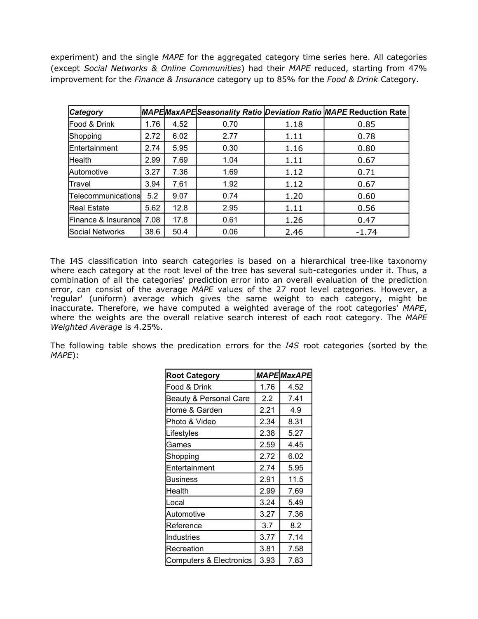experiment) and the single *MAPE* for the aggregated category time series here. All categories (except *Social Networks & Online Communities*) had their *MAPE* reduced, starting from 47% improvement for the *Finance & Insurance* category up to 85% for the *Food & Drink* Category.

| <b>Category</b>     |      |      |      |      | MAPEMaxAPE Seasonality Ratio Deviation Ratio MAPE Reduction Rate |
|---------------------|------|------|------|------|------------------------------------------------------------------|
| Food & Drink        | 1.76 | 4.52 | 0.70 | 1.18 | 0.85                                                             |
| Shopping            | 2.72 | 6.02 | 2.77 | 1.11 | 0.78                                                             |
| Entertainment       | 2.74 | 5.95 | 0.30 | 1.16 | 0.80                                                             |
| <b>Health</b>       | 2.99 | 7.69 | 1.04 | 1.11 | 0.67                                                             |
| Automotive          | 3.27 | 7.36 | 1.69 | 1.12 | 0.71                                                             |
| Travel              | 3.94 | 7.61 | 1.92 | 1.12 | 0.67                                                             |
| Telecommunications  | 5.2  | 9.07 | 0.74 | 1.20 | 0.60                                                             |
| <b>Real Estate</b>  | 5.62 | 12.8 | 2.95 | 1.11 | 0.56                                                             |
| Finance & Insurance | 7.08 | 17.8 | 0.61 | 1.26 | 0.47                                                             |
| Social Networks     | 38.6 | 50.4 | 0.06 | 2.46 | $-1.74$                                                          |

The I4S classification into search categories is based on a hierarchical tree-like taxonomy where each category at the root level of the tree has several sub-categories under it. Thus, a combination of all the categories' prediction error into an overall evaluation of the prediction error, can consist of the average *MAPE* values of the 27 root level categories. However, a 'regular' (uniform) average which gives the same weight to each category, might be inaccurate. Therefore, we have computed a weighted average of the root categories' *MAPE*, where the weights are the overall relative search interest of each root category. The *MAPE Weighted Average* is 4.25%.

The following table shows the predication errors for the *I4S* root categories (sorted by the *MAPE*):

| <b>Root Category</b>              |      | MAPEMaxAPE |
|-----------------------------------|------|------------|
| Food & Drink                      | 1.76 | 4.52       |
| <b>Beauty &amp; Personal Care</b> | 2.2  | 7.41       |
| Home & Garden                     | 2.21 | 4.9        |
| Photo & Video                     | 2.34 | 8.31       |
| Lifestyles                        | 2.38 | 5.27       |
| Games                             | 2.59 | 4.45       |
| Shopping                          | 2.72 | 6.02       |
| Entertainment                     | 2.74 | 5.95       |
| Business                          | 2.91 | 11.5       |
| Health                            | 2.99 | 7.69       |
| Local                             | 3.24 | 5.49       |
| Automotive                        | 3.27 | 7.36       |
| Reference                         | 3.7  | 8.2        |
| Industries                        | 3.77 | 7.14       |
| Recreation                        | 3.81 | 7.58       |
| Computers & Electronics           | 3.93 | 7.83       |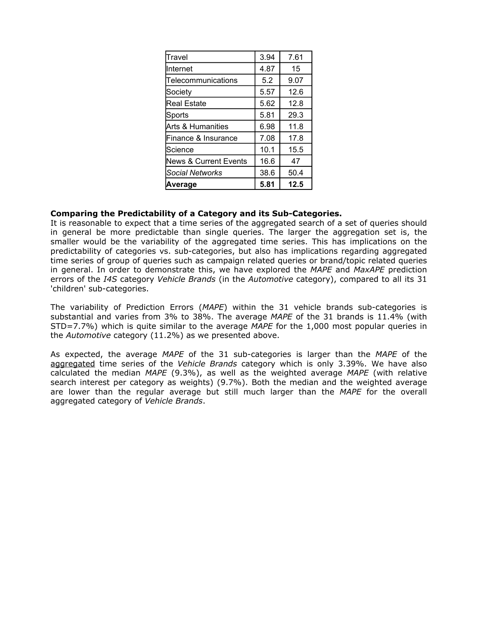| Travel                           | 3.94 | 7.61 |
|----------------------------------|------|------|
| Internet                         | 4.87 | 15   |
| Telecommunications               | 5.2  | 9.07 |
| Society                          | 5.57 | 12.6 |
| <b>Real Estate</b>               | 5.62 | 12.8 |
| Sports                           | 5.81 | 29.3 |
| Arts & Humanities                | 6.98 | 11.8 |
| Finance & Insurance              | 7.08 | 17.8 |
| Science                          | 10.1 | 15.5 |
| <b>News &amp; Current Events</b> | 16.6 | 47   |
| <b>Social Networks</b>           | 38.6 | 50.4 |
| Average                          | 5.81 | 12.5 |

#### **Comparing the Predictability of a Category and its Sub-Categories.**

It is reasonable to expect that a time series of the aggregated search of a set of queries should in general be more predictable than single queries. The larger the aggregation set is, the smaller would be the variability of the aggregated time series. This has implications on the predictability of categories vs. sub-categories, but also has implications regarding aggregated time series of group of queries such as campaign related queries or brand/topic related queries in general. In order to demonstrate this, we have explored the *MAPE* and *MaxAPE* prediction errors of the *I4S* category *Vehicle Brands* (in the *Automotive* category), compared to all its 31 'children' sub-categories.

The variability of Prediction Errors (*MAPE*) within the 31 vehicle brands sub-categories is substantial and varies from 3% to 38%. The average *MAPE* of the 31 brands is 11.4% (with STD=7.7%) which is quite similar to the average *MAPE* for the 1,000 most popular queries in the *Automotive* category (11.2%) as we presented above.

As expected, the average *MAPE* of the 31 sub-categories is larger than the *MAPE* of the aggregated time series of the *Vehicle Brands* category which is only 3.39%. We have also calculated the median *MAPE* (9.3%), as well as the weighted average *MAPE* (with relative search interest per category as weights) (9.7%). Both the median and the weighted average are lower than the regular average but still much larger than the *MAPE* for the overall aggregated category of *Vehicle Brands*.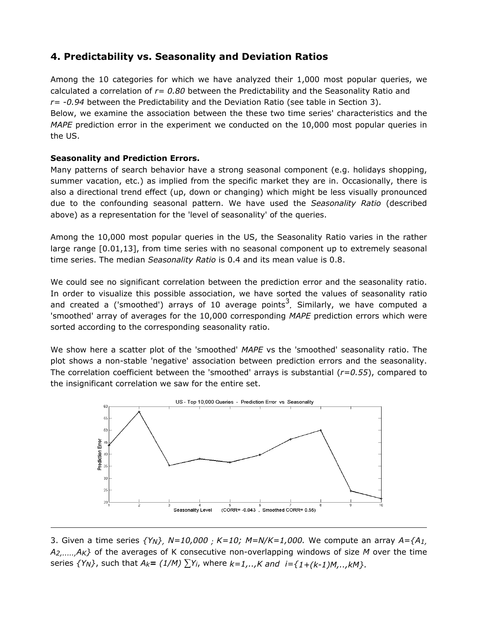## **4. Predictability vs. Seasonality and Deviation Ratios**

Among the 10 categories for which we have analyzed their 1,000 most popular queries, we calculated a correlation of *r= 0.80* between the Predictability and the Seasonality Ratio and *r= -0.94* between the Predictability and the Deviation Ratio (see table in Section 3). Below, we examine the association between the these two time series' characteristics and the *MAPE* prediction error in the experiment we conducted on the 10,000 most popular queries in the US.

### **Seasonality and Prediction Errors.**

Many patterns of search behavior have a strong seasonal component (e.g. holidays shopping, summer vacation, etc.) as implied from the specific market they are in. Occasionally, there is also a directional trend effect (up, down or changing) which might be less visually pronounced due to the confounding seasonal pattern. We have used the *Seasonality Ratio* (described above) as a representation for the 'level of seasonality' of the queries.

Among the 10,000 most popular queries in the US, the Seasonality Ratio varies in the rather large range [0.01,13], from time series with no seasonal component up to extremely seasonal time series. The median *Seasonality Ratio* is 0.4 and its mean value is 0.8.

We could see no significant correlation between the prediction error and the seasonality ratio. In order to visualize this possible association, we have sorted the values of seasonality ratio and created a ('smoothed') arrays of 10 average points<sup>3</sup>. Similarly, we have computed a 'smoothed' array of averages for the 10,000 corresponding *MAPE* prediction errors which were sorted according to the corresponding seasonality ratio.

We show here a scatter plot of the 'smoothed' *MAPE* vs the 'smoothed' seasonality ratio. The plot shows a non-stable 'negative' association between prediction errors and the seasonality. The correlation coefficient between the 'smoothed' arrays is substantial (*r=0.55*), compared to the insignificant correlation we saw for the entire set.



3. Given a time series *{YN}, N=10,000 ; K=10; M=N/K=1,000.* We compute an array *A={A1, A2,.....,AK}* of the averages of K consecutive non-overlapping windows of size *M* over the time series  $\{Y_N\}$ , such that  $A_k = (1/M) \sum Y_i$ , where  $k=1,..,K$  and  $i=\{1+(k-1)M,...,kM\}$ .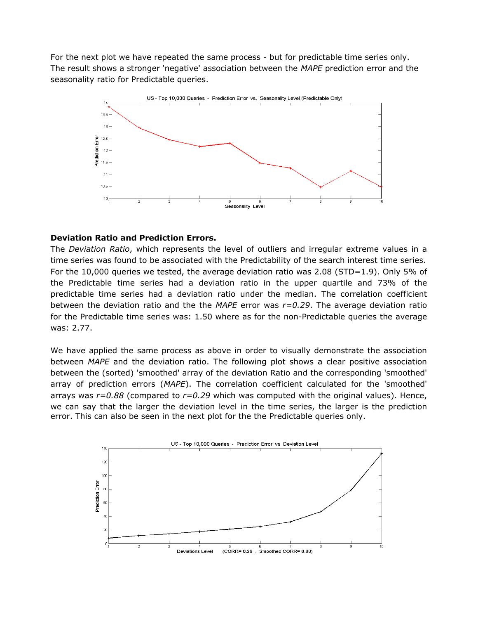For the next plot we have repeated the same process - but for predictable time series only. The result shows a stronger 'negative' association between the *MAPE* prediction error and the seasonality ratio for Predictable queries.



#### **Deviation Ratio and Prediction Errors.**

The *Deviation Ratio*, which represents the level of outliers and irregular extreme values in a time series was found to be associated with the Predictability of the search interest time series. For the 10,000 queries we tested, the average deviation ratio was 2.08 (STD=1.9). Only 5% of the Predictable time series had a deviation ratio in the upper quartile and 73% of the predictable time series had a deviation ratio under the median. The correlation coefficient between the deviation ratio and the the *MAPE* error was *r=0.29*. The average deviation ratio for the Predictable time series was: 1.50 where as for the non-Predictable queries the average was: 2.77.

We have applied the same process as above in order to visually demonstrate the association between *MAPE* and the deviation ratio. The following plot shows a clear positive association between the (sorted) 'smoothed' array of the deviation Ratio and the corresponding 'smoothed' array of prediction errors (*MAPE*). The correlation coefficient calculated for the 'smoothed' arrays was *r=0.88* (compared to *r=0.29* which was computed with the original values). Hence, we can say that the larger the deviation level in the time series, the larger is the prediction error. This can also be seen in the next plot for the the Predictable queries only.

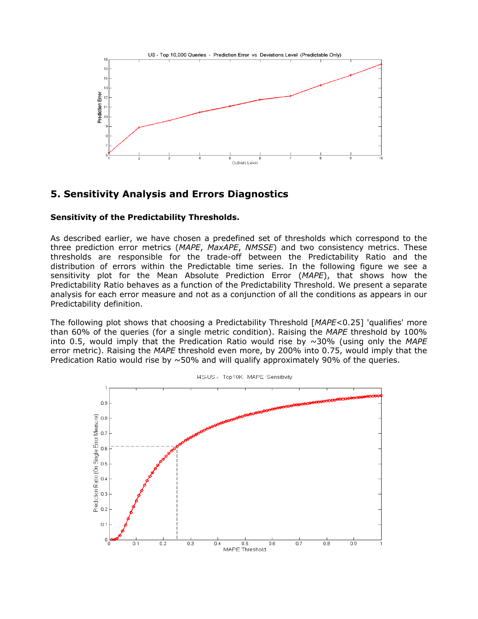

## **5. Sensitivity Analysis and Errors Diagnostics**

#### **Sensitivity of the Predictability Thresholds.**

As described earlier, we have chosen a predefined set of thresholds which correspond to the three prediction error metrics (*MAPE*, *MaxAPE*, *NMSSE*) and two consistency metrics. These thresholds are responsible for the trade-off between the Predictability Ratio and the distribution of errors within the Predictable time series. In the following figure we see a sensitivity plot for the Mean Absolute Prediction Error (*MAPE*), that shows how the Predictability Ratio behaves as a function of the Predictability Threshold. We present a separate analysis for each error measure and not as a conjunction of all the conditions as appears in our Predictability definition.

The following plot shows that choosing a Predictability Threshold [*MAPE*<0.25] 'qualifies' more than 60% of the queries (for a single metric condition). Raising the *MAPE* threshold by 100% into 0.5, would imply that the Predication Ratio would rise by ~30% (using only the *MAPE* error metric). Raising the *MAPE* threshold even more, by 200% into 0.75, would imply that the Predication Ratio would rise by  $\sim$  50% and will qualify approximately 90% of the queries.

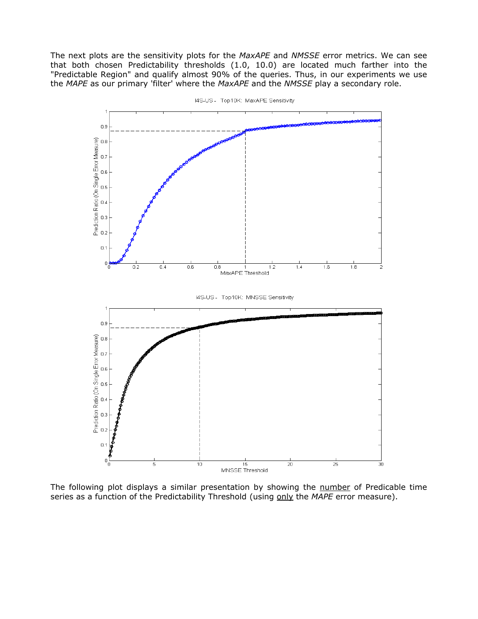The next plots are the sensitivity plots for the *MaxAPE* and *NMSSE* error metrics. We can see that both chosen Predictability thresholds (1.0, 10.0) are located much farther into the "Predictable Region" and qualify almost 90% of the queries. Thus, in our experiments we use the *MAPE* as our primary 'filter' where the *MaxAPE* and the *NMSSE* play a secondary role.



I4S-US - Top10K: MaxAPE Sensitivity

The following plot displays a similar presentation by showing the number of Predicable time series as a function of the Predictability Threshold (using only the *MAPE* error measure).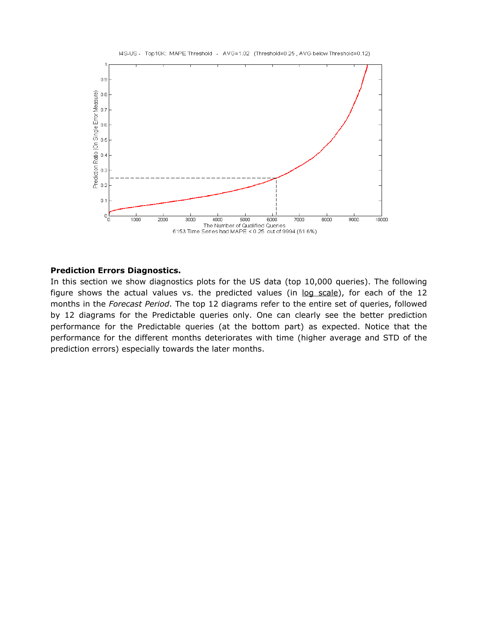

#### **Prediction Errors Diagnostics.**

In this section we show diagnostics plots for the US data (top 10,000 queries). The following figure shows the actual values vs. the predicted values (in log scale), for each of the 12 months in the *Forecast Period*. The top 12 diagrams refer to the entire set of queries, followed by 12 diagrams for the Predictable queries only. One can clearly see the better prediction performance for the Predictable queries (at the bottom part) as expected. Notice that the performance for the different months deteriorates with time (higher average and STD of the prediction errors) especially towards the later months.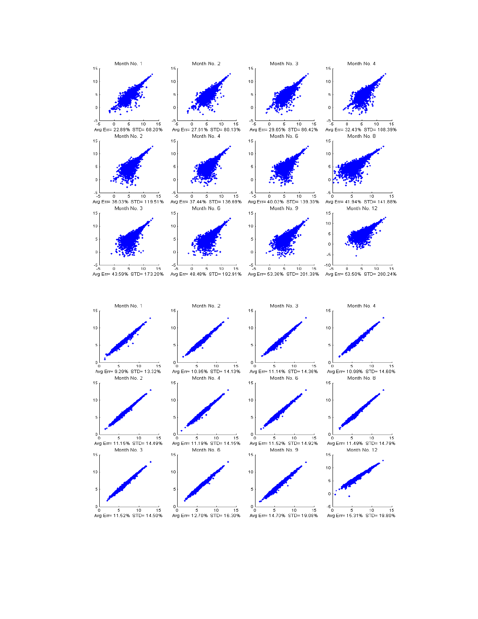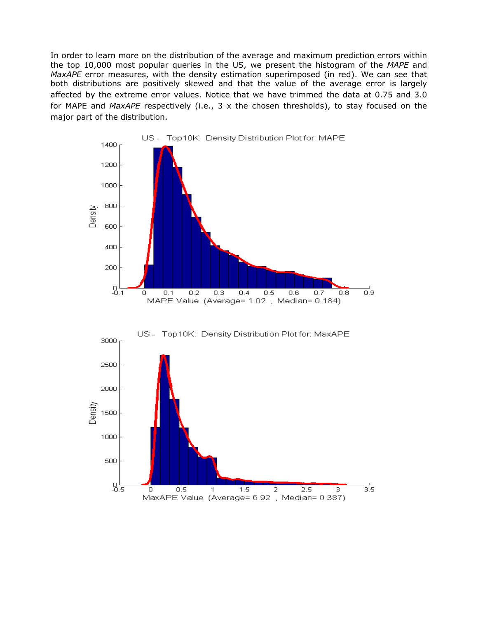In order to learn more on the distribution of the average and maximum prediction errors within the top 10,000 most popular queries in the US, we present the histogram of the *MAPE* and *MaxAPE* error measures, with the density estimation superimposed (in red). We can see that both distributions are positively skewed and that the value of the average error is largely affected by the extreme error values. Notice that we have trimmed the data at 0.75 and 3.0 for MAPE and *MaxAPE* respectively (i.e., 3 x the chosen thresholds), to stay focused on the major part of the distribution.



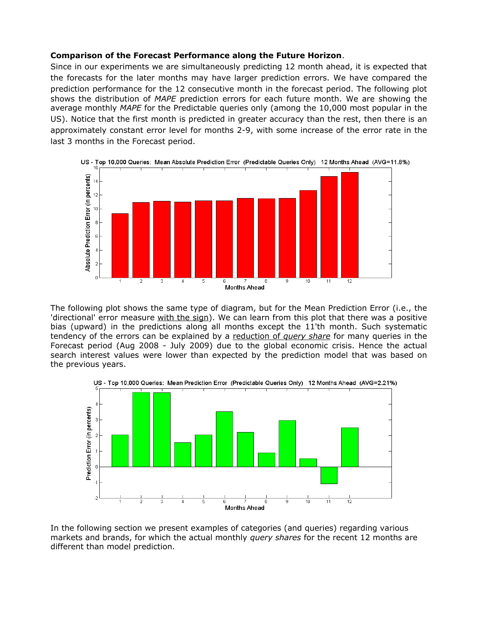#### **Comparison of the Forecast Performance along the Future Horizon**.

Since in our experiments we are simultaneously predicting 12 month ahead, it is expected that the forecasts for the later months may have larger prediction errors. We have compared the prediction performance for the 12 consecutive month in the forecast period. The following plot shows the distribution of *MAPE* prediction errors for each future month. We are showing the average monthly *MAPE* for the Predictable queries only (among the 10,000 most popular in the US). Notice that the first month is predicted in greater accuracy than the rest, then there is an approximately constant error level for months 2-9, with some increase of the error rate in the last 3 months in the Forecast period.



The following plot shows the same type of diagram, but for the Mean Prediction Error (i.e., the 'directional' error measure with the sign). We can learn from this plot that there was a positive bias (upward) in the predictions along all months except the 11'th month. Such systematic tendency of the errors can be explained by a reduction of *query share* for many queries in the Forecast period (Aug 2008 - July 2009) due to the global economic crisis. Hence the actual search interest values were lower than expected by the prediction model that was based on the previous years.



In the following section we present examples of categories (and queries) regarding various markets and brands, for which the actual monthly *query shares* for the recent 12 months are different than model prediction.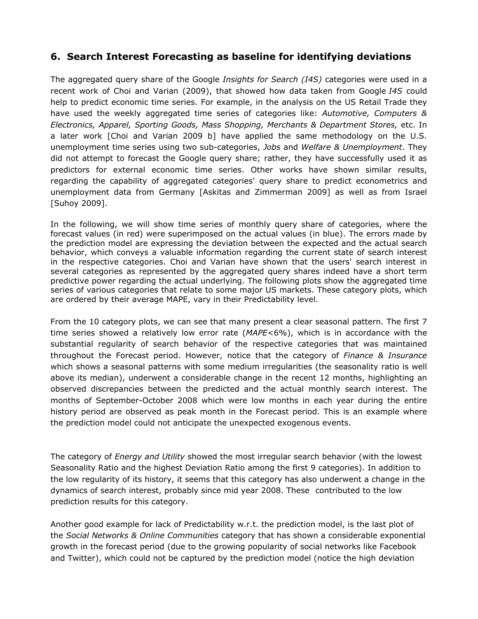## **6. Search Interest Forecasting as baseline for identifying deviations**

The aggregated query share of the Google *Insights for Search (I4S)* categories were used in a recent work of Choi and Varian (2009), that showed how data taken from Google *I4S* could help to predict economic time series. For example, in the analysis on the US Retail Trade they have used the weekly aggregated time series of categories like: *Automotive, Computers & Electronics, Apparel, Sporting Goods, Mass Shopping, Merchants & Department Stores,* etc. In a later work [Choi and Varian 2009 b] have applied the same methodology on the U.S. unemployment time series using two sub-categories, *Jobs* and *Welfare & Unemployment*. They did not attempt to forecast the Google query share; rather, they have successfully used it as predictors for external economic time series. Other works have shown similar results, regarding the capability of aggregated categories' query share to predict econometrics and unemployment data from Germany [Askitas and Zimmerman 2009] as well as from Israel [Suhoy 2009].

In the following, we will show time series of monthly query share of categories, where the forecast values (in red) were superimposed on the actual values (in blue). The errors made by the prediction model are expressing the deviation between the expected and the actual search behavior, which conveys a valuable information regarding the current state of search interest in the respective categories. Choi and Varian have shown that the users' search interest in several categories as represented by the aggregated query shares indeed have a short term predictive power regarding the actual underlying. The following plots show the aggregated time series of various categories that relate to some major US markets. These category plots, which are ordered by their average MAPE, vary in their Predictability level.

From the 10 category plots, we can see that many present a clear seasonal pattern. The first 7 time series showed a relatively low error rate (*MAPE*<6%), which is in accordance with the substantial regularity of search behavior of the respective categories that was maintained throughout the Forecast period. However, notice that the category of *Finance & Insurance* which shows a seasonal patterns with some medium irregularities (the seasonality ratio is well above its median), underwent a considerable change in the recent 12 months, highlighting an observed discrepancies between the predicted and the actual monthly search interest. The months of September-October 2008 which were low months in each year during the entire history period are observed as peak month in the Forecast period. This is an example where the prediction model could not anticipate the unexpected exogenous events.

The category of *Energy and Utility* showed the most irregular search behavior (with the lowest Seasonality Ratio and the highest Deviation Ratio among the first 9 categories). In addition to the low regularity of its history, it seems that this category has also underwent a change in the dynamics of search interest, probably since mid year 2008. These contributed to the low prediction results for this category.

Another good example for lack of Predictability w.r.t. the prediction model, is the last plot of the *Social Networks & Online Communities* category that has shown a considerable exponential growth in the forecast period (due to the growing popularity of social networks like Facebook and Twitter), which could not be captured by the prediction model (notice the high deviation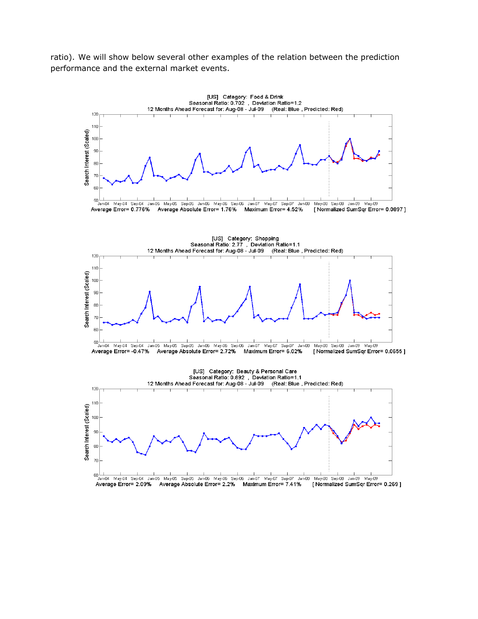ratio). We will show below several other examples of the relation between the prediction performance and the external market events.

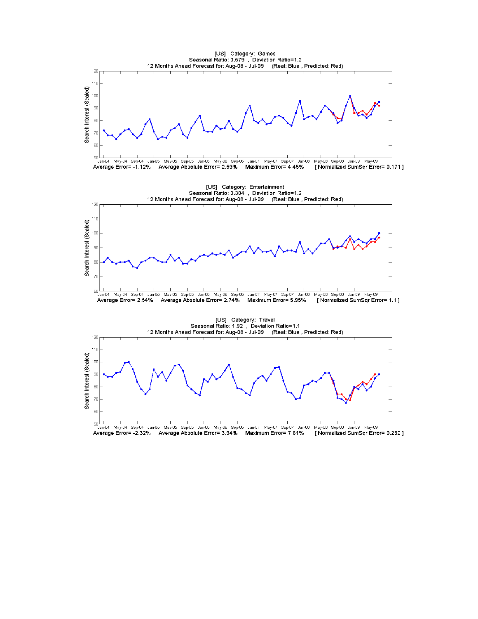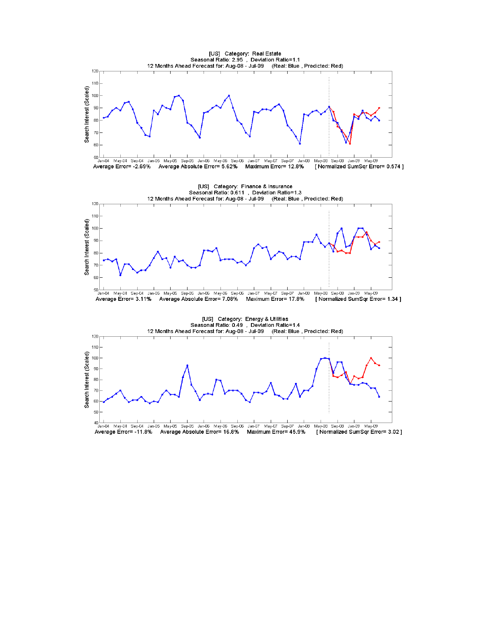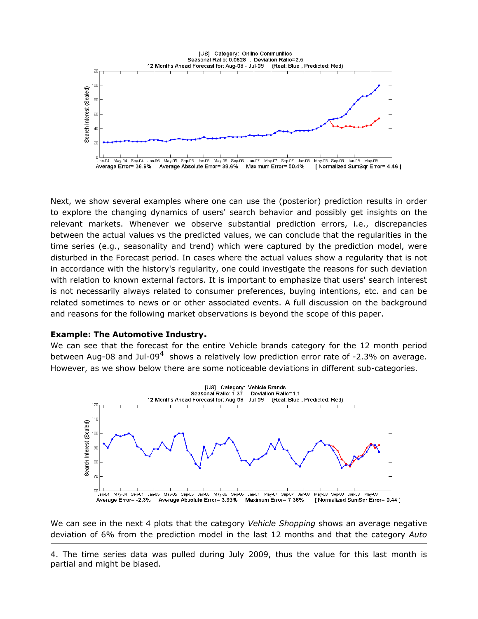

Next, we show several examples where one can use the (posterior) prediction results in order to explore the changing dynamics of users' search behavior and possibly get insights on the relevant markets. Whenever we observe substantial prediction errors, i.e., discrepancies between the actual values vs the predicted values, we can conclude that the regularities in the time series (e.g., seasonality and trend) which were captured by the prediction model, were disturbed in the Forecast period. In cases where the actual values show a regularity that is not in accordance with the history's regularity, one could investigate the reasons for such deviation with relation to known external factors. It is important to emphasize that users' search interest is not necessarily always related to consumer preferences, buying intentions, etc. and can be related sometimes to news or or other associated events. A full discussion on the background and reasons for the following market observations is beyond the scope of this paper.

#### **Example: The Automotive Industry.**

We can see that the forecast for the entire Vehicle brands category for the 12 month period between Aug-08 and Jul-09<sup>4</sup> shows a relatively low prediction error rate of -2.3% on average. However, as we show below there are some noticeable deviations in different sub-categories.



We can see in the next 4 plots that the category *Vehicle Shopping* shows an average negative deviation of 6% from the prediction model in the last 12 months and that the category *Auto*

4. The time series data was pulled during July 2009, thus the value for this last month is partial and might be biased.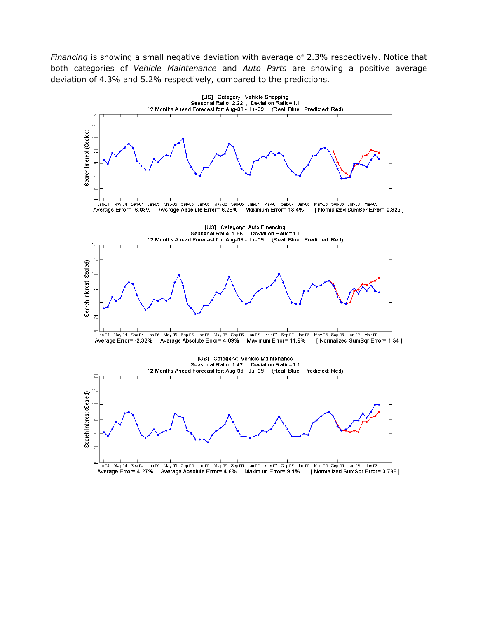*Financing* is showing a small negative deviation with average of 2.3% respectively. Notice that both categories of *Vehicle Maintenance* and *Auto Parts* are showing a positive average deviation of 4.3% and 5.2% respectively, compared to the predictions.

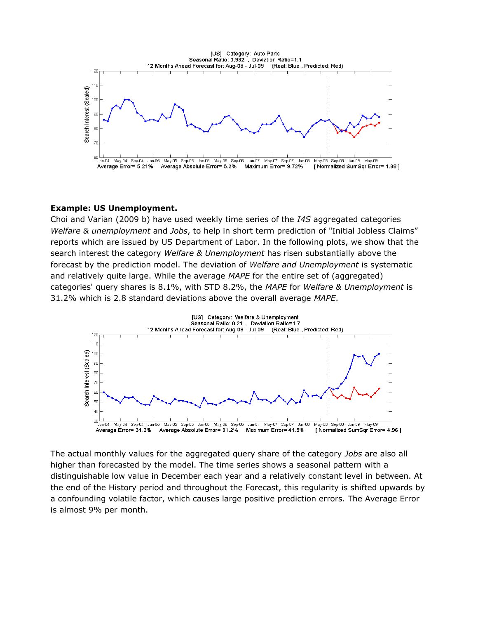

#### **Example: US Unemployment.**

Choi and Varian (2009 b) have used weekly time series of the *I4S* aggregated categories *Welfare & unemployment* and *Jobs*, to help in short term prediction of "Initial Jobless Claims" reports which are issued by US Department of Labor. In the following plots, we show that the search interest the category *Welfare & Unemployment* has risen substantially above the forecast by the prediction model. The deviation of *Welfare and Unemployment* is systematic and relatively quite large. While the average *MAPE* for the entire set of (aggregated) categories' query shares is 8.1%, with STD 8.2%, the *MAPE* for *Welfare & Unemployment* is 31.2% which is 2.8 standard deviations above the overall average *MAPE*.



The actual monthly values for the aggregated query share of the category *Jobs* are also all higher than forecasted by the model. The time series shows a seasonal pattern with a distinguishable low value in December each year and a relatively constant level in between. At the end of the History period and throughout the Forecast, this regularity is shifted upwards by a confounding volatile factor, which causes large positive prediction errors. The Average Error is almost 9% per month.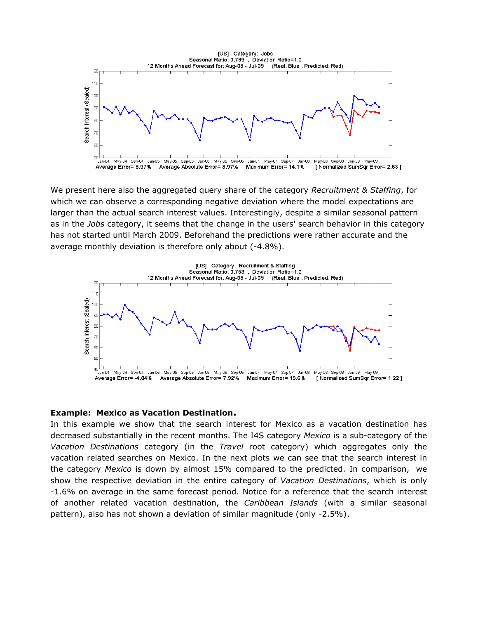

We present here also the aggregated query share of the category *Recruitment & Staffing*, for which we can observe a corresponding negative deviation where the model expectations are larger than the actual search interest values. Interestingly, despite a similar seasonal pattern as in the *Jobs* category, it seems that the change in the users' search behavior in this category has not started until March 2009. Beforehand the predictions were rather accurate and the average monthly deviation is therefore only about (-4.8%).



#### **Example: Mexico as Vacation Destination.**

In this example we show that the search interest for Mexico as a vacation destination has decreased substantially in the recent months. The I4S category *Mexico* is a sub-category of the *Vacation Destinations* category (in the *Travel* root category) which aggregates only the vacation related searches on Mexico. In the next plots we can see that the search interest in the category *Mexico* is down by almost 15% compared to the predicted. In comparison, we show the respective deviation in the entire category of *Vacation Destinations*, which is only -1.6% on average in the same forecast period. Notice for a reference that the search interest of another related vacation destination, the *Caribbean Islands* (with a similar seasonal pattern), also has not shown a deviation of similar magnitude (only -2.5%).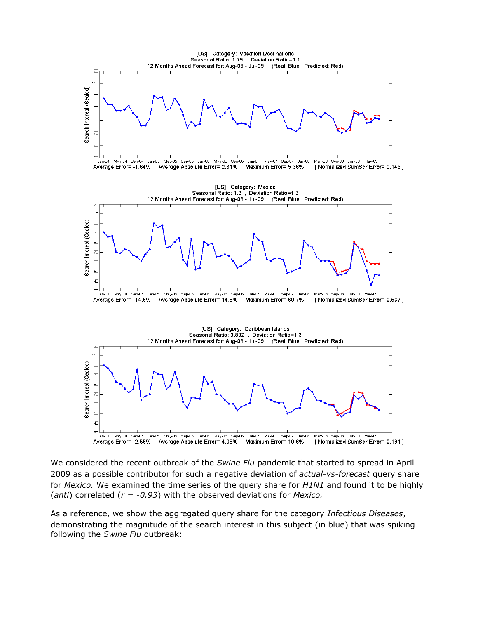

We considered the recent outbreak of the *Swine Flu* pandemic that started to spread in April 2009 as a possible contributor for such a negative deviation of *actual-vs-forecast* query share for *Mexico.* We examined the time series of the query share for *H1N1* and found it to be highly (*anti*) correlated (*r = -0.93*) with the observed deviations for *Mexico.*

As a reference, we show the aggregated query share for the category *Infectious Diseases*, demonstrating the magnitude of the search interest in this subject (in blue) that was spiking following the *Swine Flu* outbreak: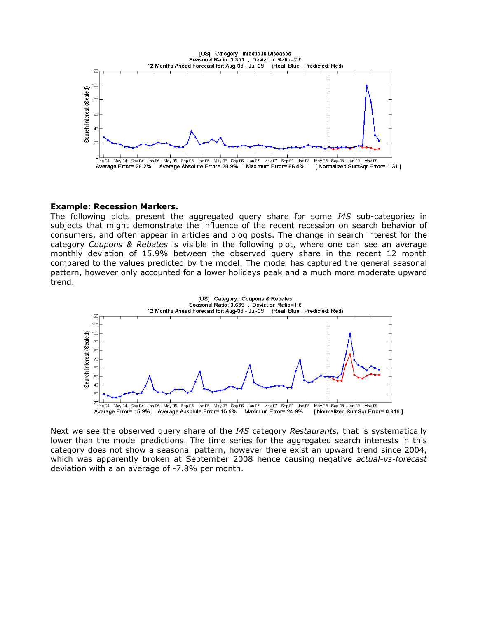

#### **Example: Recession Markers.**

The following plots present the aggregated query share for some *I4S* sub-categorie*s* in subjects that might demonstrate the influence of the recent recession on search behavior of consumers, and often appear in articles and blog posts. The change in search interest for the category *Coupons & Rebates* is visible in the following plot, where one can see an average monthly deviation of 15.9% between the observed query share in the recent 12 month compared to the values predicted by the model. The model has captured the general seasonal pattern, however only accounted for a lower holidays peak and a much more moderate upward trend.



Next we see the observed query share of the *I4S* category *Restaurants,* that is systematically lower than the model predictions. The time series for the aggregated search interests in this category does not show a seasonal pattern, however there exist an upward trend since 2004, which was apparently broken at September 2008 hence causing negative *actual-vs-forecast* deviation with a an average of -7.8% per month.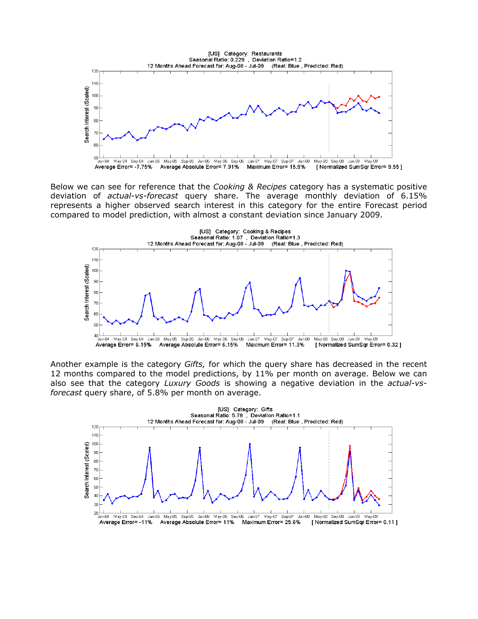

Below we can see for reference that the *Cooking & Recipes* category has a systematic positive deviation of *actual-vs-forecast* query share. The average monthly deviation of 6.15% represents a higher observed search interest in this category for the entire Forecast period compared to model prediction, with almost a constant deviation since January 2009.



Another example is the category *Gifts,* for which the query share has decreased in the recent 12 months compared to the model predictions, by 11% per month on average. Below we can also see that the category *Luxury Goods* is showing a negative deviation in the *actual-vsforecast* query share, of 5.8% per month on average.

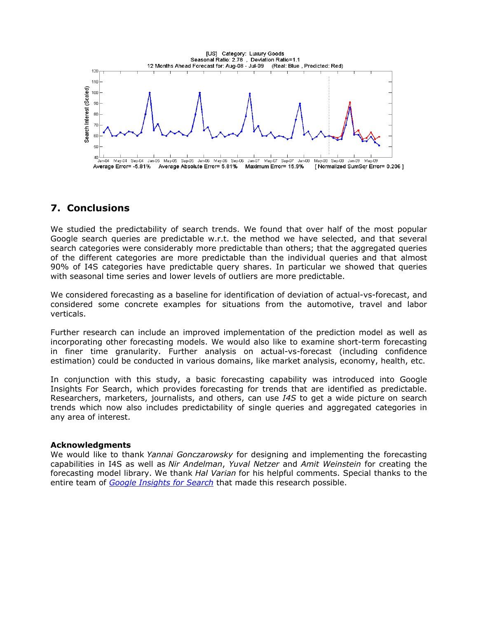

## **7. Conclusions**

We studied the predictability of search trends. We found that over half of the most popular Google search queries are predictable w.r.t. the method we have selected, and that several search categories were considerably more predictable than others; that the aggregated queries of the different categories are more predictable than the individual queries and that almost 90% of I4S categories have predictable query shares. In particular we showed that queries with seasonal time series and lower levels of outliers are more predictable.

We considered forecasting as a baseline for identification of deviation of actual-vs-forecast, and considered some concrete examples for situations from the automotive, travel and labor verticals.

Further research can include an improved implementation of the prediction model as well as incorporating other forecasting models. We would also like to examine short-term forecasting in finer time granularity. Further analysis on actual-vs-forecast (including confidence estimation) could be conducted in various domains, like market analysis, economy, health, etc.

In conjunction with this study, a basic forecasting capability was introduced into Google Insights For Search, which provides forecasting for trends that are identified as predictable. Researchers, marketers, journalists, and others, can use *I4S* to get a wide picture on search trends which now also includes predictability of single queries and aggregated categories in any area of interest.

#### **Acknowledgments**

We would like to thank *Yannai Gonczarowsky* for designing and implementing the forecasting capabilities in I4S as well as *Nir Andelman*, *Yuval Netzer* and *Amit Weinstein* for creating the forecasting model library. We thank *Hal Varian* for his helpful comments. Special thanks to the entire team of *[Google Insights for Search](http://www.google.com/insights/search/#q=Insights%20for%20Search&cmpt=q)* that made this research possible.